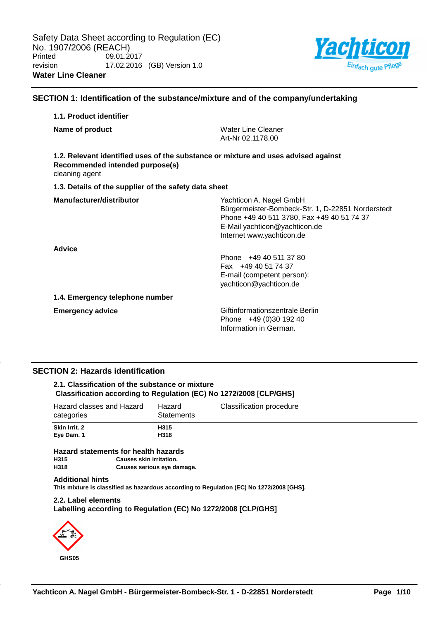

## **SECTION 1: Identification of the substance/mixture and of the company/undertaking**

## **1.1. Product identifier**

| Name of product                                                                                                                         | <b>Water Line Cleaner</b><br>Art-Nr 02.1178.00                                                                                                                                           |
|-----------------------------------------------------------------------------------------------------------------------------------------|------------------------------------------------------------------------------------------------------------------------------------------------------------------------------------------|
| 1.2. Relevant identified uses of the substance or mixture and uses advised against<br>Recommended intended purpose(s)<br>cleaning agent |                                                                                                                                                                                          |
| 1.3. Details of the supplier of the safety data sheet                                                                                   |                                                                                                                                                                                          |
| Manufacturer/distributor                                                                                                                | Yachticon A. Nagel GmbH<br>Bürgermeister-Bombeck-Str. 1, D-22851 Norderstedt<br>Phone +49 40 511 3780, Fax +49 40 51 74 37<br>E-Mail yachticon@yachticon.de<br>Internet www.yachticon.de |
| <b>Advice</b>                                                                                                                           | Phone +49 40 511 37 80<br>Fax +49 40 51 74 37<br>E-mail (competent person):<br>yachticon@yachticon.de                                                                                    |
| 1.4. Emergency telephone number                                                                                                         |                                                                                                                                                                                          |
| <b>Emergency advice</b>                                                                                                                 | Giftinformationszentrale Berlin<br>Phone +49 (0)30 192 40<br>Information in German.                                                                                                      |

## **SECTION 2: Hazards identification**

## **2.1. Classification of the substance or mixture Classification according to Regulation (EC) No 1272/2008 [CLP/GHS]**

| Hazard classes and Hazard<br>categories | Hazard<br>Statements | Classification procedure |
|-----------------------------------------|----------------------|--------------------------|
| Skin Irrit. 2<br>Eye Dam. 1             | H315<br>H318         |                          |

# **Hazard statements for health hazards**

**Causes skin irritation.** 

**H318 Causes serious eye damage.**

## **Additional hints**

**This mixture is classified as hazardous according to Regulation (EC) No 1272/2008 [GHS].**

## **2.2. Label elements Labelling according to Regulation (EC) No 1272/2008 [CLP/GHS]**

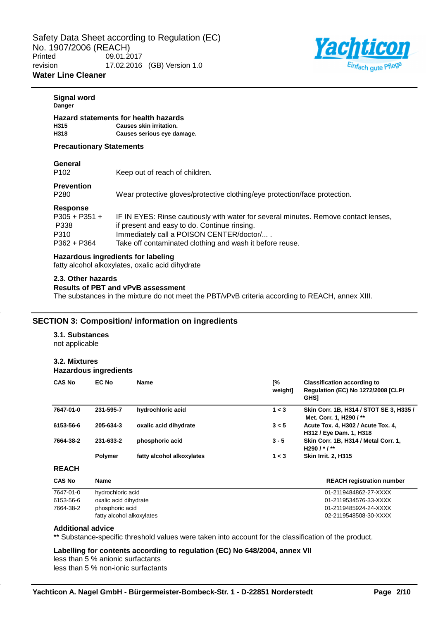

## **Signal word Danger Hazard statements for health hazards H315 Causes skin irritation. H318 Causes serious eye damage. Precautionary Statements General** P102 Keep out of reach of children. **Prevention** P280 Wear protective gloves/protective clothing/eye protection/face protection. **Response** P305 + P351 + P338 IF IN EYES: Rinse cautiously with water for several minutes. Remove contact lenses, if present and easy to do. Continue rinsing. P310 Immediately call a POISON CENTER/doctor/.... P362 + P364 Take off contaminated clothing and wash it before reuse. **Hazardous ingredients for labeling** fatty alcohol alkoxylates, oxalic acid dihydrate **2.3. Other hazards**

#### **Results of PBT and vPvB assessment**

The substances in the mixture do not meet the PBT/vPvB criteria according to REACH, annex XIII.

## **SECTION 3: Composition/ information on ingredients**

## **3.1. Substances**

not applicable

## **3.2. Mixtures**

**Hazardous ingredients**

| <b>CAS No</b> | <b>EC No</b>   | <b>Name</b>               | [%<br>weight] | <b>Classification according to</b><br><b>Regulation (EC) No 1272/2008 [CLP/</b><br><b>GHS1</b> |
|---------------|----------------|---------------------------|---------------|------------------------------------------------------------------------------------------------|
| 7647-01-0     | 231-595-7      | hydrochloric acid         | 1 < 3         | Skin Corr. 1B, H314 / STOT SE 3, H335 /<br>Met. Corr. 1, H290 /**                              |
| 6153-56-6     | 205-634-3      | oxalic acid dihydrate     | 3 < 5         | Acute Tox. 4, H302 / Acute Tox. 4,<br>H312 / Eye Dam. 1, H318                                  |
| 7664-38-2     | 231-633-2      | phosphoric acid           | $3 - 5$       | Skin Corr. 1B, H314 / Metal Corr. 1,<br>H290 $1 * 1 **$                                        |
|               | <b>Polymer</b> | fatty alcohol alkoxylates | 1 < 3         | <b>Skin Irrit. 2. H315</b>                                                                     |
| <b>REACH</b>  |                |                           |               |                                                                                                |

| <b>REACH registration number</b> |
|----------------------------------|
| 01-2119484862-27-XXXX            |
| 01-2119534576-33-XXXX            |
| 01-2119485924-24-XXXX            |
| 02-2119548508-30-XXXX            |
|                                  |

## **Additional advice**

\*\* Substance-specific threshold values were taken into account for the classification of the product.

**Labelling for contents according to regulation (EC) No 648/2004, annex VII** less than 5 % anionic surfactants less than 5 % non-ionic surfactants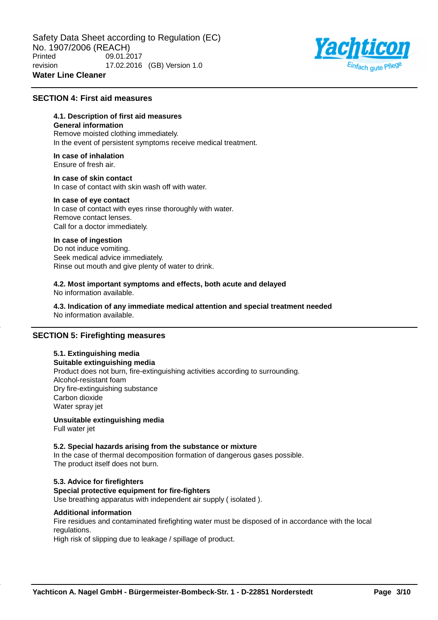

## **SECTION 4: First aid measures**

## **4.1. Description of first aid measures**

## **General information**

Remove moisted clothing immediately. In the event of persistent symptoms receive medical treatment.

#### **In case of inhalation** Ensure of fresh air.

**In case of skin contact** In case of contact with skin wash off with water.

#### **In case of eye contact**

In case of contact with eyes rinse thoroughly with water. Remove contact lenses. Call for a doctor immediately.

## **In case of ingestion**

Do not induce vomiting. Seek medical advice immediately. Rinse out mouth and give plenty of water to drink.

#### **4.2. Most important symptoms and effects, both acute and delayed** No information available.

**4.3. Indication of any immediate medical attention and special treatment needed** No information available.

## **SECTION 5: Firefighting measures**

## **5.1. Extinguishing media**

**Suitable extinguishing media** Product does not burn, fire-extinguishing activities according to surrounding. Alcohol-resistant foam Dry fire-extinguishing substance Carbon dioxide Water spray jet

**Unsuitable extinguishing media** Full water jet

## **5.2. Special hazards arising from the substance or mixture**

In the case of thermal decomposition formation of dangerous gases possible. The product itself does not burn.

## **5.3. Advice for firefighters**

## **Special protective equipment for fire-fighters**

Use breathing apparatus with independent air supply ( isolated ).

## **Additional information**

Fire residues and contaminated firefighting water must be disposed of in accordance with the local regulations.

High risk of slipping due to leakage / spillage of product.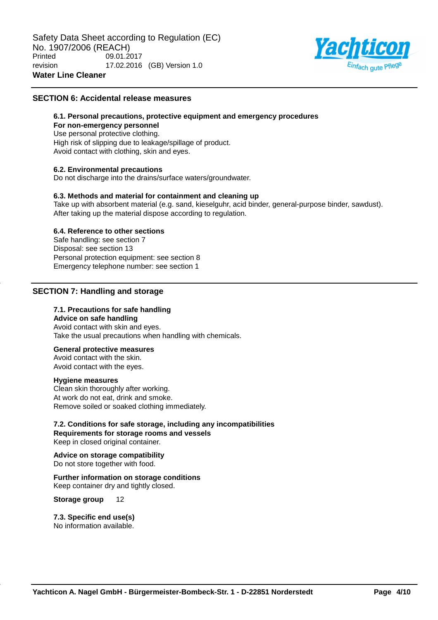

## **SECTION 6: Accidental release measures**

## **6.1. Personal precautions, protective equipment and emergency procedures**

## **For non-emergency personnel**

Use personal protective clothing. High risk of slipping due to leakage/spillage of product. Avoid contact with clothing, skin and eyes.

## **6.2. Environmental precautions**

Do not discharge into the drains/surface waters/groundwater.

## **6.3. Methods and material for containment and cleaning up**

Take up with absorbent material (e.g. sand, kieselguhr, acid binder, general-purpose binder, sawdust). After taking up the material dispose according to regulation.

## **6.4. Reference to other sections**

Safe handling: see section 7 Disposal: see section 13 Personal protection equipment: see section 8 Emergency telephone number: see section 1

## **SECTION 7: Handling and storage**

## **7.1. Precautions for safe handling**

#### **Advice on safe handling**

Avoid contact with skin and eyes. Take the usual precautions when handling with chemicals.

## **General protective measures**

Avoid contact with the skin. Avoid contact with the eyes.

## **Hygiene measures**

Clean skin thoroughly after working. At work do not eat, drink and smoke. Remove soiled or soaked clothing immediately.

## **7.2. Conditions for safe storage, including any incompatibilities Requirements for storage rooms and vessels**

Keep in closed original container.

**Advice on storage compatibility** Do not store together with food.

## **Further information on storage conditions**

Keep container dry and tightly closed.

**Storage group** 12

## **7.3. Specific end use(s)**

No information available.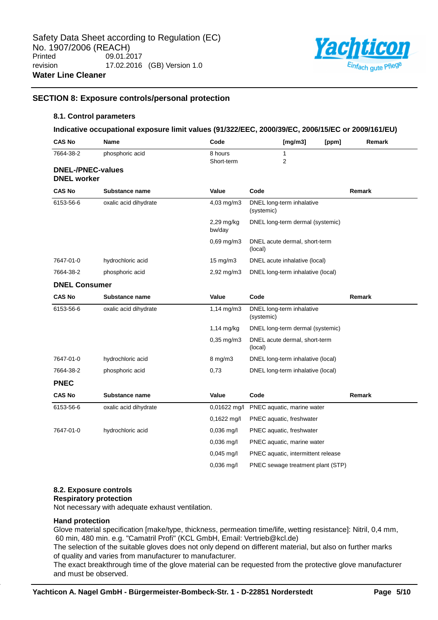

## **SECTION 8: Exposure controls/personal protection**

#### **8.1. Control parameters**

## **Indicative occupational exposure limit values (91/322/EEC, 2000/39/EC, 2006/15/EC or 2009/161/EU)**

| <b>CAS No</b>            | Name                  | Code                    | [mg/m3]<br>[ppm]                         | Remark |
|--------------------------|-----------------------|-------------------------|------------------------------------------|--------|
| 7664-38-2                | phosphoric acid       | 8 hours                 | 1                                        |        |
| <b>DNEL-/PNEC-values</b> |                       | Short-term              | $\overline{2}$                           |        |
| <b>DNEL</b> worker       |                       |                         |                                          |        |
| <b>CAS No</b>            | Substance name        | Value                   | Code                                     | Remark |
| 6153-56-6                | oxalic acid dihydrate | 4,03 mg/m3              | DNEL long-term inhalative<br>(systemic)  |        |
|                          |                       | 2,29 mg/kg<br>bw/day    | DNEL long-term dermal (systemic)         |        |
|                          |                       | $0,69$ mg/m $3$         | DNEL acute dermal, short-term<br>(local) |        |
| 7647-01-0                | hydrochloric acid     | $15 \text{ mg/m}$       | DNEL acute inhalative (local)            |        |
| 7664-38-2                | phosphoric acid       | $2,92 \,\mathrm{mg/m}$  | DNEL long-term inhalative (local)        |        |
| <b>DNEL Consumer</b>     |                       |                         |                                          |        |
| <b>CAS No</b>            | Substance name        | Value                   | Code                                     | Remark |
| 6153-56-6                | oxalic acid dihydrate | $1,14$ mg/m3            | DNEL long-term inhalative<br>(systemic)  |        |
|                          |                       | $1,14$ mg/kg            | DNEL long-term dermal (systemic)         |        |
|                          |                       | $0,35 \, \text{mg/m}$ 3 | DNEL acute dermal, short-term<br>(local) |        |
| 7647-01-0                | hydrochloric acid     | 8 mg/m3                 | DNEL long-term inhalative (local)        |        |
| 7664-38-2                | phosphoric acid       | 0,73                    | DNEL long-term inhalative (local)        |        |
| <b>PNEC</b>              |                       |                         |                                          |        |
| <b>CAS No</b>            | Substance name        | Value                   | Code                                     | Remark |
| 6153-56-6                | oxalic acid dihydrate | $0,01622 \text{ mg/l}$  | PNEC aquatic, marine water               |        |
|                          |                       | 0,1622 mg/l             | PNEC aquatic, freshwater                 |        |
| 7647-01-0                | hydrochloric acid     | $0,036$ mg/l            | PNEC aquatic, freshwater                 |        |
|                          |                       | $0,036$ mg/l            | PNEC aquatic, marine water               |        |
|                          |                       | $0,045 \text{ mg/l}$    | PNEC aquatic, intermittent release       |        |
|                          |                       | 0,036 mg/l              | PNEC sewage treatment plant (STP)        |        |

## **8.2. Exposure controls**

#### **Respiratory protection**

Not necessary with adequate exhaust ventilation.

## **Hand protection**

Glove material specification [make/type, thickness, permeation time/life, wetting resistance]: Nitril, 0,4 mm, 60 min, 480 min. e.g. "Camatril Profi" (KCL GmbH, Email: Vertrieb@kcl.de)

The selection of the suitable gloves does not only depend on different material, but also on further marks of quality and varies from manufacturer to manufacturer.

The exact breakthrough time of the glove material can be requested from the protective glove manufacturer and must be observed.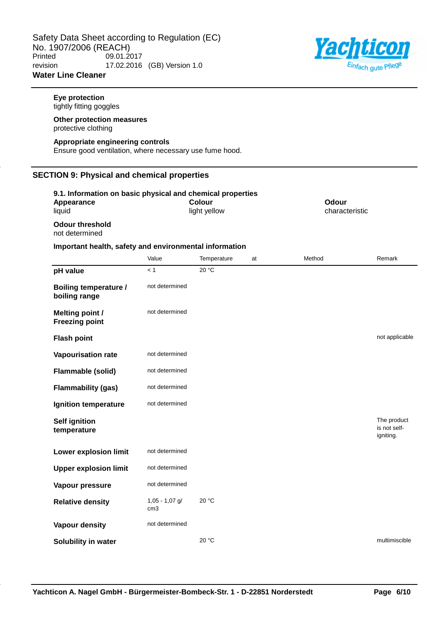

## **Eye protection** tightly fitting goggles **Other protection measures** protective clothing **Appropriate engineering controls** Ensure good ventilation, where necessary use fume hood. **SECTION 9: Physical and chemical properties 9.1. Information on basic physical and chemical properties Appearance** liquid **Colour** light yellow **Odour** characteristic **Odour threshold** not determined **Important health, safety and environmental information** Value **Temperature** at Method Remark **pH value**  $\times 1$   $\times 20^{\circ}$ C **Boiling temperature / boiling range** not determined **Melting point / Freezing point** not determined **Flash point** not applicable **Vapourisation rate** not determined **Flammable (solid)** not determined **Flammability (gas)** not determined **Ignition temperature** not determined **Self ignition temperature** The product is not selfigniting. **Lower explosion limit** not determined **Upper explosion limit** not determined **Vapour pressure** not determined **Relative density** 1,05 - 1,07 g/ cm3 20 °C **Vapour density** not determined **Solubility in water 20 °C** and **20 °C** and **20 °C** multimiscible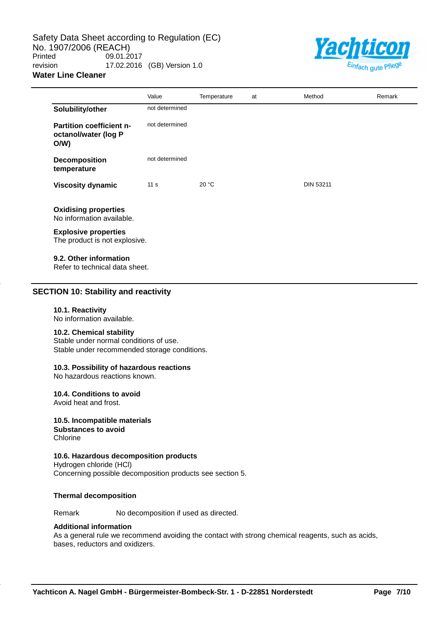Safety Data Sheet according to Regulation (EC) No. 1907/2006 (REACH)<br>Printed 09.01.2 09.01.2017 revision 17.02.2016 (GB) Version 1.0 **Water Line Cleaner**



|                                                                | Value           | Temperature | at | Method           | Remark |
|----------------------------------------------------------------|-----------------|-------------|----|------------------|--------|
| Solubility/other                                               | not determined  |             |    |                  |        |
| <b>Partition coefficient n-</b><br>octanol/water (log P<br>O/W | not determined  |             |    |                  |        |
| <b>Decomposition</b><br>temperature                            | not determined  |             |    |                  |        |
| <b>Viscosity dynamic</b>                                       | 11 <sub>s</sub> | 20 °C       |    | <b>DIN 53211</b> |        |
| <b>Oxidising properties</b><br>No information available.       |                 |             |    |                  |        |
| <b>Explosive properties</b><br>The product is not explosive.   |                 |             |    |                  |        |
| 9.2. Other information<br>Refer to technical data sheet.       |                 |             |    |                  |        |

## **SECTION 10: Stability and reactivity**

#### **10.1. Reactivity**

No information available.

#### **10.2. Chemical stability**

Stable under normal conditions of use. Stable under recommended storage conditions.

## **10.3. Possibility of hazardous reactions**

No hazardous reactions known.

#### **10.4. Conditions to avoid**

Avoid heat and frost.

#### **10.5. Incompatible materials Substances to avoid Chlorine**

## **10.6. Hazardous decomposition products**

Hydrogen chloride (HCl) Concerning possible decomposition products see section 5.

#### **Thermal decomposition**

Remark No decomposition if used as directed.

## **Additional information**

As a general rule we recommend avoiding the contact with strong chemical reagents, such as acids, bases, reductors and oxidizers.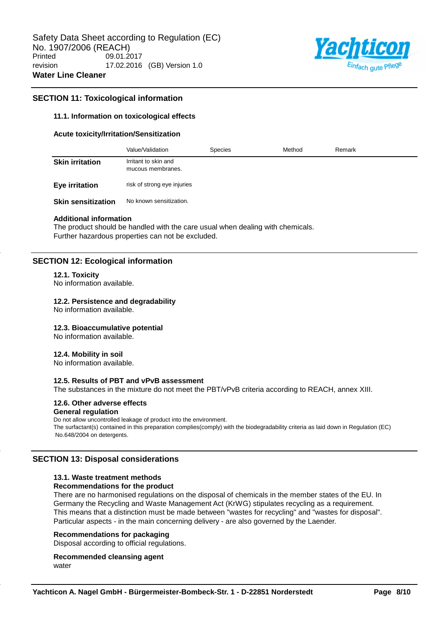

## **SECTION 11: Toxicological information**

## **11.1. Information on toxicological effects**

#### **Acute toxicity/Irritation/Sensitization**

|                           | Value/Validation                          | <b>Species</b> | Method | Remark |
|---------------------------|-------------------------------------------|----------------|--------|--------|
| <b>Skin irritation</b>    | Irritant to skin and<br>mucous membranes. |                |        |        |
| Eye irritation            | risk of strong eye injuries               |                |        |        |
| <b>Skin sensitization</b> | No known sensitization.                   |                |        |        |

#### **Additional information**

The product should be handled with the care usual when dealing with chemicals. Further hazardous properties can not be excluded.

## **SECTION 12: Ecological information**

#### **12.1. Toxicity**

No information available.

## **12.2. Persistence and degradability**

No information available.

## **12.3. Bioaccumulative potential**

No information available.

#### **12.4. Mobility in soil**

No information available.

## **12.5. Results of PBT and vPvB assessment**

The substances in the mixture do not meet the PBT/vPvB criteria according to REACH, annex XIII.

#### **12.6. Other adverse effects General regulation**

Do not allow uncontrolled leakage of product into the environment. The surfactant(s) contained in this preparation complies(comply) with the biodegradability criteria as laid down in Regulation (EC) No.648/2004 on detergents.

## **SECTION 13: Disposal considerations**

## **13.1. Waste treatment methods**

## **Recommendations for the product**

There are no harmonised regulations on the disposal of chemicals in the member states of the EU. In Germany the Recycling and Waste Management Act (KrWG) stipulates recycling as a requirement. This means that a distinction must be made between "wastes for recycling" and "wastes for disposal". Particular aspects - in the main concerning delivery - are also governed by the Laender.

## **Recommendations for packaging**

Disposal according to official regulations.

**Recommended cleansing agent** water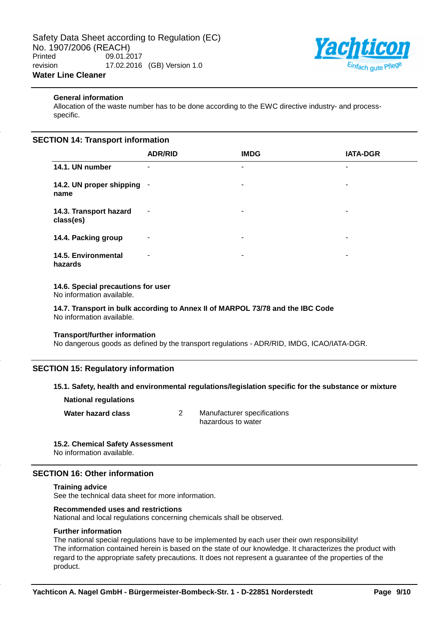

## **General information**

Allocation of the waste number has to be done according to the EWC directive industry- and processspecific.

## **SECTION 14: Transport information**

|                                     | <b>ADR/RID</b> | <b>IMDG</b> | <b>IATA-DGR</b> |
|-------------------------------------|----------------|-------------|-----------------|
| 14.1. UN number                     | ۰              | ۰           | ۰               |
| 14.2. UN proper shipping -<br>name  |                | ۰           | ۰               |
| 14.3. Transport hazard<br>class(es) | $\blacksquare$ | ۰           | ۰               |
| 14.4. Packing group                 | ۰              | ٠           | ٠               |
| 14.5. Environmental<br>hazards      | ۰              | ٠           | ۰               |

## **14.6. Special precautions for user**

No information available.

**14.7. Transport in bulk according to Annex II of MARPOL 73/78 and the IBC Code** No information available.

## **Transport/further information**

No dangerous goods as defined by the transport regulations - ADR/RID, IMDG, ICAO/IATA-DGR.

## **SECTION 15: Regulatory information**

## **15.1. Safety, health and environmental regulations/legislation specific for the substance or mixture**

**National regulations**

**Water hazard class** 2 Manufacturer specifications hazardous to water

## **15.2. Chemical Safety Assessment**

No information available.

## **SECTION 16: Other information**

#### **Training advice**

See the technical data sheet for more information.

#### **Recommended uses and restrictions**

National and local regulations concerning chemicals shall be observed.

#### **Further information**

The national special regulations have to be implemented by each user their own responsibility! The information contained herein is based on the state of our knowledge. It characterizes the product with regard to the appropriate safety precautions. It does not represent a guarantee of the properties of the product.